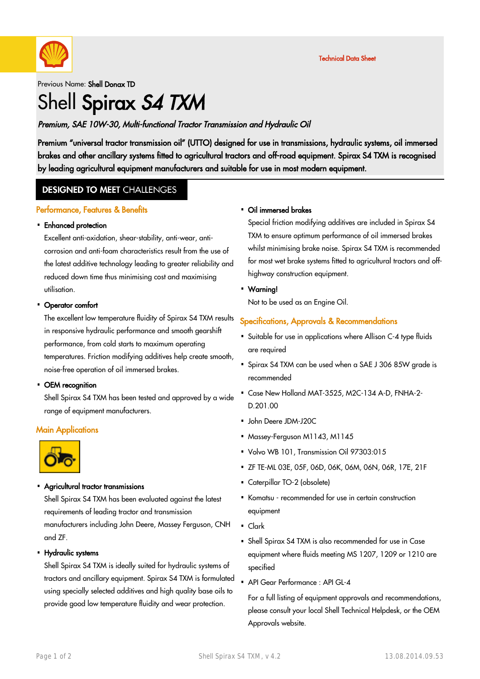

### Previous Name: Shell Donax TD

# Shell Spirax S4 TXM

#### Premium, SAE 10W-30, Multi-functional Tractor Transmission and Hydraulic Oil

Premium "universal tractor transmission oil" (UTTO) designed for use in transmissions, hydraulic systems, oil immersed brakes and other ancillary systems fitted to agricultural tractors and off-road equipment. Spirax S4 TXM is recognised by leading agricultural equipment manufacturers and suitable for use in most modern equipment.

#### **DESIGNED TO MEET CHALLENGES**

#### Performance, Features & Benefits

## Enhanced protection ·

Excellent anti-oxidation, shear-stability, anti-wear, anticorrosion and anti-foam characteristics result from the use of the latest additive technology leading to greater reliability and reduced down time thus minimising cost and maximising utilisation.

## • Operator comfort

The excellent low temperature fluidity of Spirax S4 TXM results in responsive hydraulic performance and smooth gearshift performance, from cold starts to maximum operating temperatures. Friction modifying additives help create smooth, noise-free operation of oil immersed brakes.

## • OEM recognition

Shell Spirax S4 TXM has been tested and approved by a wide range of equipment manufacturers.

#### **Main Applications**



#### Agricultural tractor transmissions

Shell Spirax S4 TXM has been evaluated against the latest requirements of leading tractor and transmission manufacturers including John Deere, Massey Ferguson, CNH and ZF.

Hydraulic systems ·

Shell Spirax S4 TXM is ideally suited for hydraulic systems of tractors and ancillary equipment. Spirax S4 TXM is formulated using specially selected additives and high quality base oils to provide good low temperature fluidity and wear protection.

#### • Oil immersed brakes

Special friction modifying additives are included in Spirax S4 TXM to ensure optimum performance of oil immersed brakes whilst minimising brake noise. Spirax S4 TXM is recommended for most wet brake systems fitted to agricultural tractors and offhighway construction equipment.

Warning! ·

Not to be used as an Engine Oil.

#### Specifications, Approvals & Recommendations

- Suitable for use in applications where Allison C-4 type fluids · are required
- Spirax S4 TXM can be used when a SAE J 306 85W grade is recommended
- Case New Holland MAT-3525, M2C-134 A-D, FNHA-2- · D.201.00
- John Deere JDM-J20C ·
- Massey-Ferguson M1143, M1145
- Volvo WB 101, Transmission Oil 97303:015
- ZF TE-ML 03E, 05F, 06D, 06K, 06M, 06N, 06R, 17E, 21F ·
- Caterpillar TO-2 (obsolete)
- Komatsu recommended for use in certain construction equipment
- Clark
- Shell Spirax S4 TXM is also recommended for use in Case · equipment where fluids meeting MS 1207, 1209 or 1210 are specified
- API Gear Performance : API GL-4

For a full listing of equipment approvals and recommendations, please consult your local Shell Technical Helpdesk, or the OEM Approvals website.